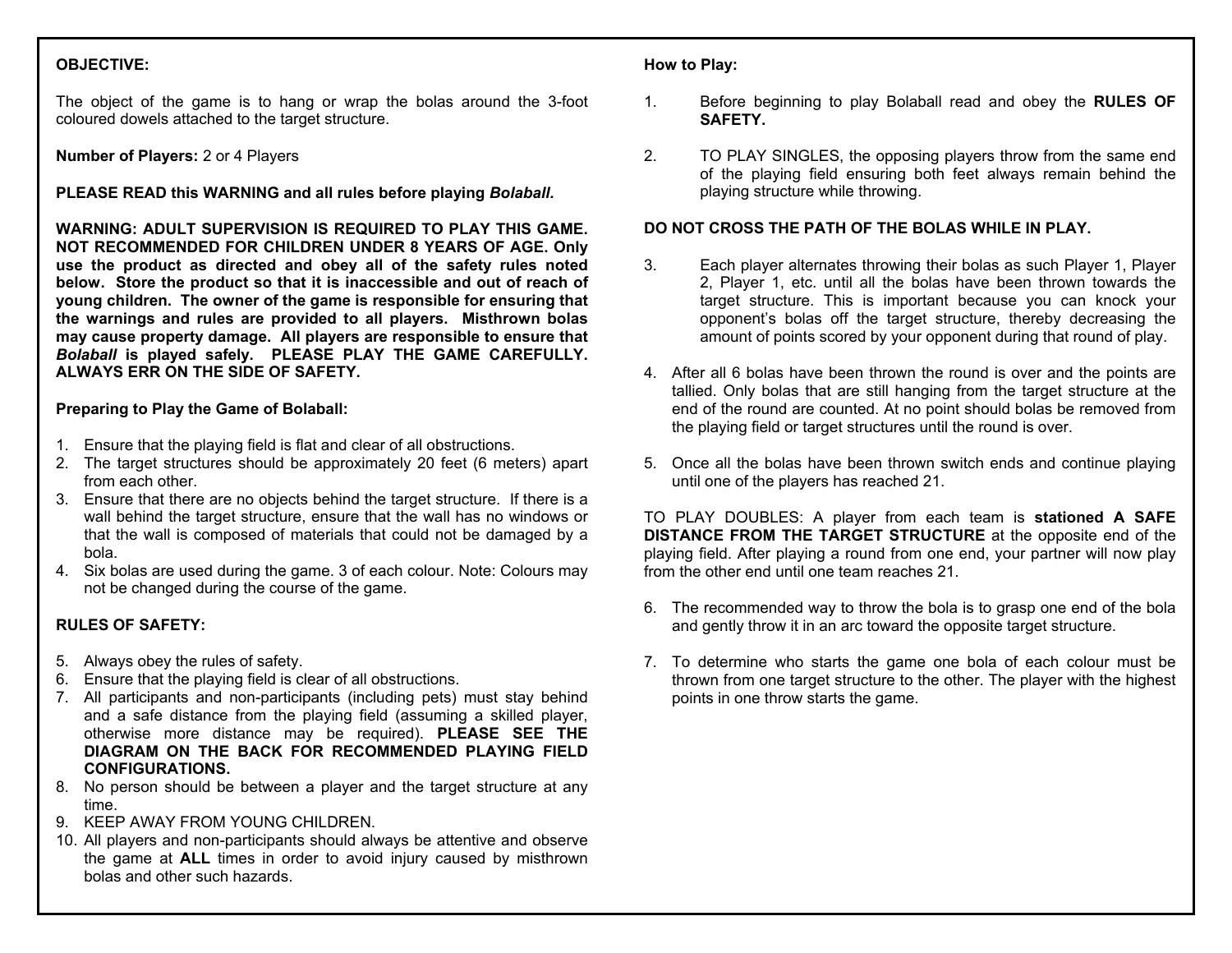# **OBJECTIVE:**

The object of the game is to hang or wrap the bolas around the 3-foot coloured dowels attached to the target structure.

**Number of Players:** 2 or 4 Players

**PLEASE READ this WARNING and all rules before playing** *Bolaball.*

**WARNING: ADULT SUPERVISION IS REQUIRED TO PLAY THIS GAME. NOT RECOMMENDED FOR CHILDREN UNDER 8 YEARS OF AGE. Only use the product as directed and obey all of the safety rules noted below. Store the product so that it is inaccessible and out of reach of young children. The owner of the game is responsible for ensuring that the warnings and rules are provided to all players. Misthrown bolas may cause property damage. All players are responsible to ensure that**  *Bolaball* **is played safely. PLEASE PLAY THE GAME CAREFULLY. ALWAYS ERR ON THE SIDE OF SAFETY.** 

#### **Preparing to Play the Game of Bolaball:**

- 1. Ensure that the playing field is flat and clear of all obstructions.
- 2. The target structures should be approximately 20 feet (6 meters) apart from each other.
- 3. Ensure that there are no objects behind the target structure. If there is a wall behind the target structure, ensure that the wall has no windows or that the wall is composed of materials that could not be damaged by a bola.
- 4. Six bolas are used during the game. 3 of each colour. Note: Colours may not be changed during the course of the game.

# **RULES OF SAFETY:**

- 5. Always obey the rules of safety.
- 6. Ensure that the playing field is clear of all obstructions.
- 7. All participants and non-participants (including pets) must stay behind and a safe distance from the playing field (assuming a skilled player, otherwise more distance may be required). **PLEASE SEE THE DIAGRAM ON THE BACK FOR RECOMMENDED PLAYING FIELD CONFIGURATIONS.**
- 8. No person should be between a player and the target structure at any time.
- 9. KEEP AWAY FROM YOUNG CHILDREN.
- 10. All players and non-participants should always be attentive and observe the game at **ALL** times in order to avoid injury caused by misthrown bolas and other such hazards.

## **How to Play:**

- 1. Before beginning to play Bolaball read and obey the **RULES OF SAFETY.**
- 2. TO PLAY SINGLES, the opposing players throw from the same end of the playing field ensuring both feet always remain behind the playing structure while throwing.

## **DO NOT CROSS THE PATH OF THE BOLAS WHILE IN PLAY.**

- 3. Each player alternates throwing their bolas as such Player 1, Player 2, Player 1, etc. until all the bolas have been thrown towards the target structure. This is important because you can knock your opponent's bolas off the target structure, thereby decreasing the amount of points scored by your opponent during that round of play.
- 4. After all 6 bolas have been thrown the round is over and the points are tallied. Only bolas that are still hanging from the target structure at the end of the round are counted. At no point should bolas be removed from the playing field or target structures until the round is over.
- 5. Once all the bolas have been thrown switch ends and continue playing until one of the players has reached 21.

TO PLAY DOUBLES: A player from each team is **stationed A SAFE DISTANCE FROM THE TARGET STRUCTURE** at the opposite end of the playing field. After playing a round from one end, your partner will now play from the other end until one team reaches 21.

- 6. The recommended way to throw the bola is to grasp one end of the bola and gently throw it in an arc toward the opposite target structure.
- 7. To determine who starts the game one bola of each colour must be thrown from one target structure to the other. The player with the highest points in one throw starts the game.